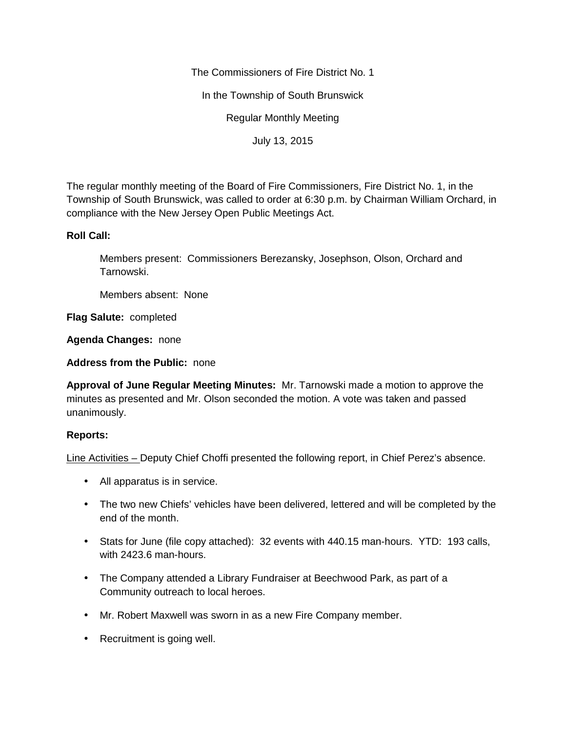The Commissioners of Fire District No. 1

In the Township of South Brunswick

Regular Monthly Meeting

July 13, 2015

The regular monthly meeting of the Board of Fire Commissioners, Fire District No. 1, in the Township of South Brunswick, was called to order at 6:30 p.m. by Chairman William Orchard, in compliance with the New Jersey Open Public Meetings Act.

## **Roll Call:**

Members present: Commissioners Berezansky, Josephson, Olson, Orchard and Tarnowski.

Members absent: None

**Flag Salute:** completed

**Agenda Changes:** none

**Address from the Public:** none

**Approval of June Regular Meeting Minutes:** Mr. Tarnowski made a motion to approve the minutes as presented and Mr. Olson seconded the motion. A vote was taken and passed unanimously.

## **Reports:**

Line Activities – Deputy Chief Choffi presented the following report, in Chief Perez's absence.

- All apparatus is in service.
- The two new Chiefs' vehicles have been delivered, lettered and will be completed by the end of the month.
- Stats for June (file copy attached): 32 events with 440.15 man-hours. YTD: 193 calls, with 2423.6 man-hours.
- The Company attended a Library Fundraiser at Beechwood Park, as part of a Community outreach to local heroes.
- Mr. Robert Maxwell was sworn in as a new Fire Company member.
- Recruitment is going well.